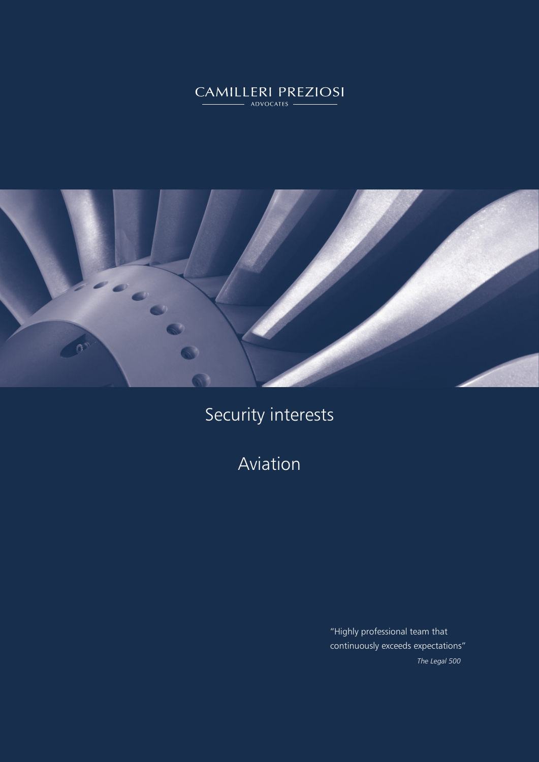# CAMILLERI PREZIOSI



Security interests

Aviation

"Highly professional team that continuously exceeds expectations" *The Legal 500*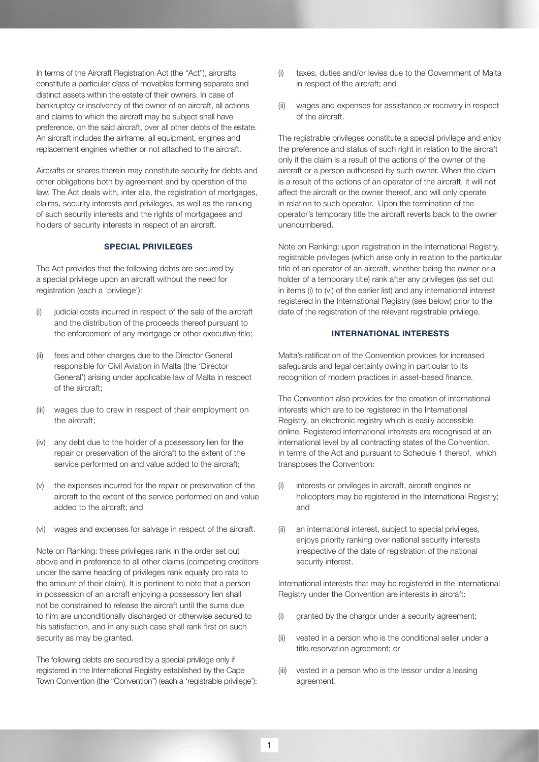In terms of the Aircraft Registration Act (the "Act"), aircrafts constitute a particular class of movables forming separate and distinct assets within the estate of their owners. In case of bankruptcy or insolvency of the owner of an aircraft, all actions and claims to which the aircraft may be subject shall have preference, on the said aircraft, over all other debts of the estate. An aircraft includes the airframe, all equipment, engines and replacement engines whether or not attached to the aircraft.

Aircrafts or shares therein may constitute security for debts and other obligations both by agreement and by operation of the law. The Act deals with, inter alia, the registration of mortgages, claims, security interests and privileges, as well as the ranking of such security interests and the rights of mortgagees and holders of security interests in respect of an aircraft.

#### SPECIAL PRIVILEGES

The Act provides that the following debts are secured by a special privilege upon an aircraft without the need for registration (each a 'privilege'):

- (i) judicial costs incurred in respect of the sale of the aircraft and the distribution of the proceeds thereof pursuant to the enforcement of any mortgage or other executive title;
- (ii) fees and other charges due to the Director General responsible for Civil Aviation in Malta (the 'Director General') arising under applicable law of Malta in respect of the aircraft;
- (iii) wages due to crew in respect of their employment on the aircraft;
- (iv) any debt due to the holder of a possessory lien for the repair or preservation of the aircraft to the extent of the service performed on and value added to the aircraft;
- (v) the expenses incurred for the repair or preservation of the aircraft to the extent of the service performed on and value added to the aircraft; and
- (vi) wages and expenses for salvage in respect of the aircraft.

Note on Ranking: these privileges rank in the order set out above and in preference to all other claims (competing creditors under the same heading of privileges rank equally pro rata to the amount of their claim). It is pertinent to note that a person in possession of an aircraft enjoying a possessory lien shall not be constrained to release the aircraft until the sums due to him are unconditionally discharged or otherwise secured to his satisfaction, and in any such case shall rank first on such security as may be granted.

The following debts are secured by a special privilege only if registered in the International Registry established by the Cape Town Convention (the "Convention") (each a 'registrable privilege'):

- (i) taxes, duties and/or levies due to the Government of Malta in respect of the aircraft; and
- (ii) wages and expenses for assistance or recovery in respect of the aircraft.

The registrable privileges constitute a special privilege and enjoy the preference and status of such right in relation to the aircraft only if the claim is a result of the actions of the owner of the aircraft or a person authorised by such owner. When the claim is a result of the actions of an operator of the aircraft, it will not affect the aircraft or the owner thereof, and will only operate in relation to such operator. Upon the termination of the operator's temporary title the aircraft reverts back to the owner unencumbered.

Note on Ranking: upon registration in the International Registry, registrable privileges (which arise only in relation to the particular title of an operator of an aircraft, whether being the owner or a holder of a temporary title) rank after any privileges (as set out in items (i) to (vi) of the earlier list) and any international interest registered in the International Registry (see below) prior to the date of the registration of the relevant registrable privilege.

#### INTERNATIONAL INTERESTS

Malta's ratification of the Convention provides for increased safeguards and legal certainty owing in particular to its recognition of modern practices in asset-based finance.

The Convention also provides for the creation of international interests which are to be registered in the International Registry, an electronic registry which is easily accessible online. Registered international interests are recognised at an international level by all contracting states of the Convention. In terms of the Act and pursuant to Schedule 1 thereof, which transposes the Convention:

- (i) interests or privileges in aircraft, aircraft engines or helicopters may be registered in the International Registry; and
- (ii) an international interest, subject to special privileges, enjoys priority ranking over national security interests irrespective of the date of registration of the national security interest.

International interests that may be registered in the International Registry under the Convention are interests in aircraft:

- (i) granted by the chargor under a security agreement;
- (ii) vested in a person who is the conditional seller under a title reservation agreement; or
- (iii) vested in a person who is the lessor under a leasing agreement.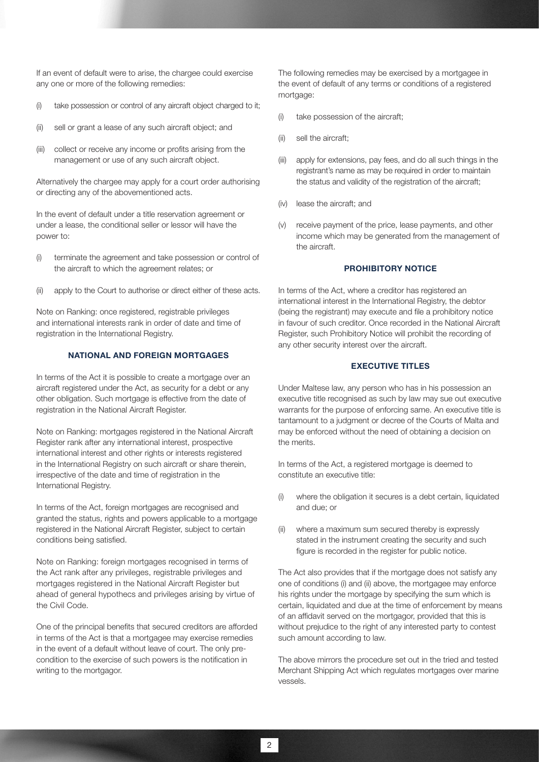If an event of default were to arise, the chargee could exercise any one or more of the following remedies:

- (i) take possession or control of any aircraft object charged to it;
- (ii) sell or grant a lease of any such aircraft object; and
- (iii) collect or receive any income or profits arising from the management or use of any such aircraft object.

Alternatively the chargee may apply for a court order authorising or directing any of the abovementioned acts.

In the event of default under a title reservation agreement or under a lease, the conditional seller or lessor will have the power to:

- (i) terminate the agreement and take possession or control of the aircraft to which the agreement relates; or
- (ii) apply to the Court to authorise or direct either of these acts.

Note on Ranking: once registered, registrable privileges and international interests rank in order of date and time of registration in the International Registry.

#### NATIONAL AND FOREIGN MORTGAGES

In terms of the Act it is possible to create a mortgage over an aircraft registered under the Act, as security for a debt or any other obligation. Such mortgage is effective from the date of registration in the National Aircraft Register.

Note on Ranking: mortgages registered in the National Aircraft Register rank after any international interest, prospective international interest and other rights or interests registered in the International Registry on such aircraft or share therein, irrespective of the date and time of registration in the International Registry.

In terms of the Act, foreign mortgages are recognised and granted the status, rights and powers applicable to a mortgage registered in the National Aircraft Register, subject to certain conditions being satisfied.

Note on Ranking: foreign mortgages recognised in terms of the Act rank after any privileges, registrable privileges and mortgages registered in the National Aircraft Register but ahead of general hypothecs and privileges arising by virtue of the Civil Code.

One of the principal benefits that secured creditors are afforded in terms of the Act is that a mortgagee may exercise remedies in the event of a default without leave of court. The only precondition to the exercise of such powers is the notification in writing to the mortgagor.

The following remedies may be exercised by a mortgagee in the event of default of any terms or conditions of a registered mortgage:

- (i) take possession of the aircraft;
- (ii) sell the aircraft:
- (iii) apply for extensions, pay fees, and do all such things in the registrant's name as may be required in order to maintain the status and validity of the registration of the aircraft;
- (iv) lease the aircraft; and
- (v) receive payment of the price, lease payments, and other income which may be generated from the management of the aircraft.

## PROHIBITORY NOTICE

In terms of the Act, where a creditor has registered an international interest in the International Registry, the debtor (being the registrant) may execute and file a prohibitory notice in favour of such creditor. Once recorded in the National Aircraft Register, such Prohibitory Notice will prohibit the recording of any other security interest over the aircraft.

#### EXECUTIVE TITLES

Under Maltese law, any person who has in his possession an executive title recognised as such by law may sue out executive warrants for the purpose of enforcing same. An executive title is tantamount to a judgment or decree of the Courts of Malta and may be enforced without the need of obtaining a decision on the merits.

In terms of the Act, a registered mortgage is deemed to constitute an executive title:

- (i) where the obligation it secures is a debt certain, liquidated and due; or
- (ii) where a maximum sum secured thereby is expressly stated in the instrument creating the security and such figure is recorded in the register for public notice.

The Act also provides that if the mortgage does not satisfy any one of conditions (i) and (ii) above, the mortgagee may enforce his rights under the mortgage by specifying the sum which is certain, liquidated and due at the time of enforcement by means of an affidavit served on the mortgagor, provided that this is without prejudice to the right of any interested party to contest such amount according to law.

The above mirrors the procedure set out in the tried and tested Merchant Shipping Act which regulates mortgages over marine vessels.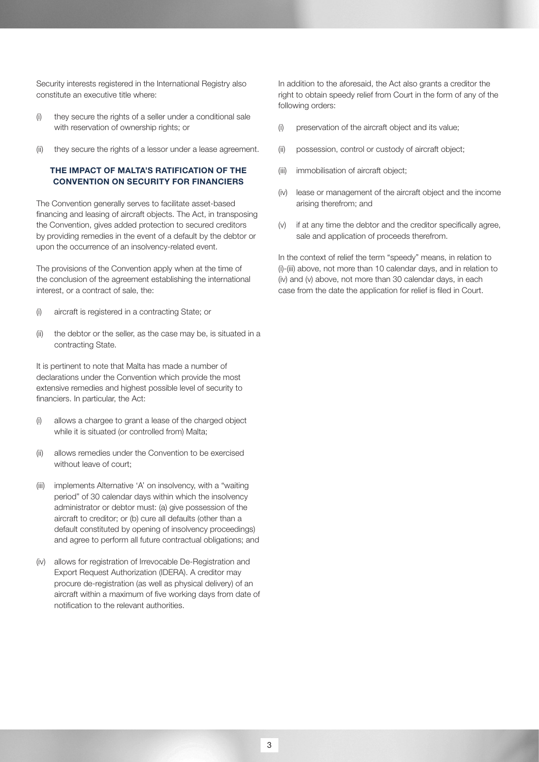Security interests registered in the International Registry also constitute an executive title where:

- (i) they secure the rights of a seller under a conditional sale with reservation of ownership rights; or
- (ii) they secure the rights of a lessor under a lease agreement.

### THE IMPACT OF MALTA'S RATIFICATION OF THE CONVENTION ON SECURITY FOR FINANCIERS

The Convention generally serves to facilitate asset-based financing and leasing of aircraft objects. The Act, in transposing the Convention, gives added protection to secured creditors by providing remedies in the event of a default by the debtor or upon the occurrence of an insolvency-related event.

The provisions of the Convention apply when at the time of the conclusion of the agreement establishing the international interest, or a contract of sale, the:

- (i) aircraft is registered in a contracting State; or
- (ii) the debtor or the seller, as the case may be, is situated in a contracting State.

It is pertinent to note that Malta has made a number of declarations under the Convention which provide the most extensive remedies and highest possible level of security to financiers. In particular, the Act:

- (i) allows a chargee to grant a lease of the charged object while it is situated (or controlled from) Malta;
- (ii) allows remedies under the Convention to be exercised without leave of court;
- (iii) implements Alternative 'A' on insolvency, with a "waiting period" of 30 calendar days within which the insolvency administrator or debtor must: (a) give possession of the aircraft to creditor; or (b) cure all defaults (other than a default constituted by opening of insolvency proceedings) and agree to perform all future contractual obligations; and
- (iv) allows for registration of Irrevocable De-Registration and Export Request Authorization (IDERA). A creditor may procure de-registration (as well as physical delivery) of an aircraft within a maximum of five working days from date of notification to the relevant authorities.

In addition to the aforesaid, the Act also grants a creditor the right to obtain speedy relief from Court in the form of any of the following orders:

- (i) preservation of the aircraft object and its value;
- (ii) possession, control or custody of aircraft object;
- (iii) immobilisation of aircraft object;
- (iv) lease or management of the aircraft object and the income arising therefrom; and
- (v) if at any time the debtor and the creditor specifically agree, sale and application of proceeds therefrom.

In the context of relief the term "speedy" means, in relation to (i)-(iii) above, not more than 10 calendar days, and in relation to (iv) and (v) above, not more than 30 calendar days, in each case from the date the application for relief is filed in Court.